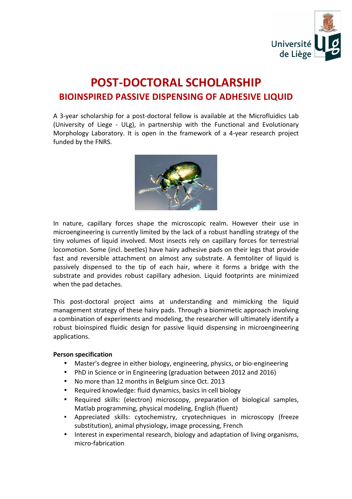

## **POST-DOCTORAL SCHOLARSHIP BIOINSPIRED PASSIVE DISPENSING OF ADHESIVE LIQUID**

A 3-year scholarship for a post-doctoral fellow is available at the Microfluidics Lab (University of Liege - ULg), in partnership with the Functional and Evolutionary Morphology Laboratory. It is open in the framework of a 4-year research project funded by the FNRS.



In nature, capillary forces shape the microscopic realm. However their use in microengineering is currently limited by the lack of a robust handling strategy of the tiny volumes of liquid involved. Most insects rely on capillary forces for terrestrial locomotion. Some (incl. beetles) have hairy adhesive pads on their legs that provide fast and reversible attachment on almost any substrate. A femtoliter of liquid is passively dispensed to the tip of each hair, where it forms a bridge with the substrate and provides robust capillary adhesion. Liquid footprints are minimized when the pad detaches.

This post-doctoral project aims at understanding and mimicking the liquid management strategy of these hairy pads. Through a biomimetic approach involving a combination of experiments and modeling, the researcher will ultimately identify a robust bioinspired fluidic design for passive liquid dispensing in microengineering applications. 

## **Person specification**

- Master's degree in either biology, engineering, physics, or bio-engineering
- PhD in Science or in Engineering (graduation between 2012 and 2016)
- No more than 12 months in Belgium since Oct. 2013
- Required knowledge: fluid dynamics, basics in cell biology
- Required skills: (electron) microscopy, preparation of biological samples, Matlab programming, physical modeling, English (fluent)
- Appreciated skills: cytochemistry, cryotechniques in microscopy (freeze substitution), animal physiology, image processing, French
- Interest in experimental research, biology and adaptation of living organisms, micro-fabrication